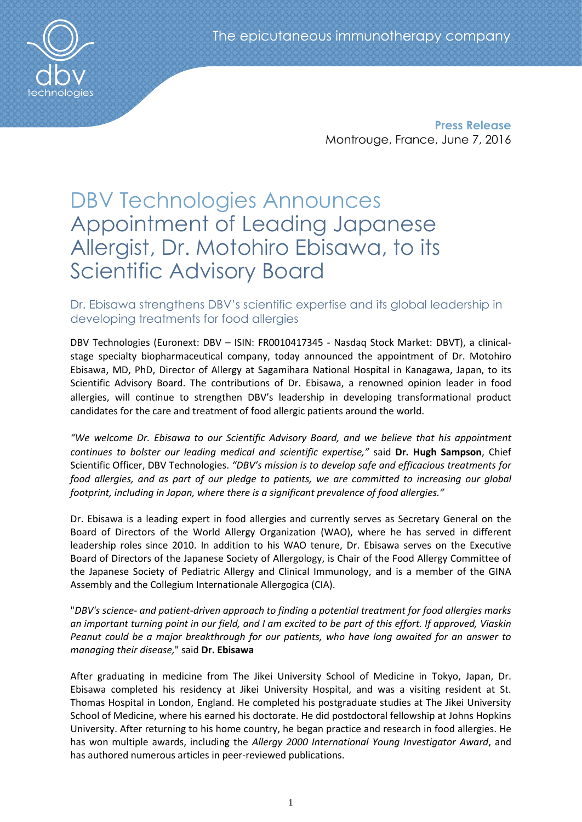

**Press Release** Montrouge, France, June 7, 2016

# DBV Technologies Announces Appointment of Leading Japanese Allergist, Dr. Motohiro Ebisawa, to its Scientific Advisory Board

## Dr. Ebisawa strengthens DBV's scientific expertise and its global leadership in developing treatments for food allergies

DBV Technologies (Euronext: DBV – ISIN: FR0010417345 - Nasdaq Stock Market: DBVT), a clinicalstage specialty biopharmaceutical company, today announced the appointment of Dr. Motohiro Ebisawa, MD, PhD, Director of Allergy at Sagamihara National Hospital in Kanagawa, Japan, to its Scientific Advisory Board. The contributions of Dr. Ebisawa, a renowned opinion leader in food allergies, will continue to strengthen DBV's leadership in developing transformational product candidates for the care and treatment of food allergic patients around the world.

*"We welcome Dr. Ebisawa to our Scientific Advisory Board, and we believe that his appointment continues to bolster our leading medical and scientific expertise,"* said **Dr. Hugh Sampson**, Chief Scientific Officer, DBV Technologies. *"DBV's mission is to develop safe and efficacious treatments for food allergies, and as part of our pledge to patients, we are committed to increasing our global footprint, including in Japan, where there is a significant prevalence of food allergies."*

Dr. Ebisawa is a leading expert in food allergies and currently serves as Secretary General on the Board of Directors of the World Allergy Organization (WAO), where he has served in different leadership roles since 2010. In addition to his WAO tenure, Dr. Ebisawa serves on the Executive Board of Directors of the Japanese Society of Allergology, is Chair of the Food Allergy Committee of the Japanese Society of Pediatric Allergy and Clinical Immunology, and is a member of the GINA Assembly and the Collegium Internationale Allergogica (CIA).

"*DBV's science- and patient-driven approach to finding a potential treatment for food allergies marks an important turning point in our field, and I am excited to be part of this effort. If approved, Viaskin Peanut could be a major breakthrough for our patients, who have long awaited for an answer to managing their disease,*" said **Dr. Ebisawa**

After graduating in medicine from The Jikei University School of Medicine in Tokyo, Japan, Dr. Ebisawa completed his residency at Jikei University Hospital, and was a visiting resident at St. Thomas Hospital in London, England. He completed his postgraduate studies at The Jikei University School of Medicine, where his earned his doctorate. He did postdoctoral fellowship at Johns Hopkins University. After returning to his home country, he began practice and research in food allergies. He has won multiple awards, including the *Allergy 2000 International Young Investigator Award*, and has authored numerous articles in peer-reviewed publications.